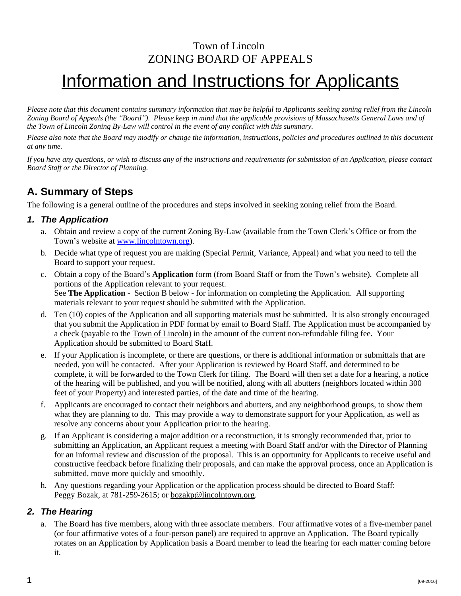# Town of Lincoln ZONING BOARD OF APPEALS Information and Instructions for Applicants

*Please note that this document contains summary information that may be helpful to Applicants seeking zoning relief from the Lincoln Zoning Board of Appeals (the "Board"). Please keep in mind that the applicable provisions of Massachusetts General Laws and of the Town of Lincoln Zoning By-Law will control in the event of any conflict with this summary.* 

*Please also note that the Board may modify or change the information, instructions, policies and procedures outlined in this document at any time.*

*If you have any questions, or wish to discuss any of the instructions and requirements for submission of an Application, please contact Board Staff or the Director of Planning.*

# **A. Summary of Steps**

The following is a general outline of the procedures and steps involved in seeking zoning relief from the Board.

## *1. The Application*

- a. Obtain and review a copy of the current Zoning By-Law (available from the Town Clerk's Office or from the Town's website at [www.lincolntown.org\)](http://www.lincolntown.org).
- b. Decide what type of request you are making (Special Permit, Variance, Appeal) and what you need to tell the Board to support your request.
- c. Obtain a copy of the Board's **Application** form (from Board Staff or from the Town's website). Complete all portions of the Application relevant to your request. See **The Application** - Section B below - for information on completing the Application. All supporting materials relevant to your request should be submitted with the Application.
- d. Ten (10) copies of the Application and all supporting materials must be submitted. It is also strongly encouraged that you submit the Application in PDF format by email to Board Staff. The Application must be accompanied by a check (payable to the Town of Lincoln) in the amount of the current non-refundable filing fee. Your Application should be submitted to Board Staff.
- e. If your Application is incomplete, or there are questions, or there is additional information or submittals that are needed, you will be contacted. After your Application is reviewed by Board Staff, and determined to be complete, it will be forwarded to the Town Clerk for filing. The Board will then set a date for a hearing, a notice of the hearing will be published, and you will be notified, along with all abutters (neighbors located within 300 feet of your Property) and interested parties, of the date and time of the hearing.
- f. Applicants are encouraged to contact their neighbors and abutters, and any neighborhood groups, to show them what they are planning to do. This may provide a way to demonstrate support for your Application, as well as resolve any concerns about your Application prior to the hearing.
- g. If an Applicant is considering a major addition or a reconstruction, it is strongly recommended that, prior to submitting an Application, an Applicant request a meeting with Board Staff and/or with the Director of Planning for an informal review and discussion of the proposal. This is an opportunity for Applicants to receive useful and constructive feedback before finalizing their proposals, and can make the approval process, once an Application is submitted, move more quickly and smoothly.
- h. Any questions regarding your Application or the application process should be directed to Board Staff: Peggy Bozak, at 781-259-2615; or [bozakp@lincolntown.org](mailto:bozakp@lincolntown.org).

## *2. The Hearing*

a. The Board has five members, along with three associate members. Four affirmative votes of a five-member panel (or four affirmative votes of a four-person panel) are required to approve an Application. The Board typically rotates on an Application by Application basis a Board member to lead the hearing for each matter coming before it.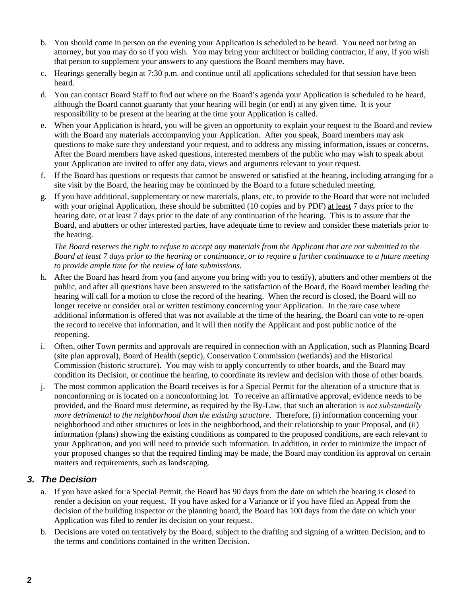- b. You should come in person on the evening your Application is scheduled to be heard. You need not bring an attorney, but you may do so if you wish. You may bring your architect or building contractor, if any, if you wish that person to supplement your answers to any questions the Board members may have.
- c. Hearings generally begin at 7:30 p.m. and continue until all applications scheduled for that session have been heard.
- d. You can contact Board Staff to find out where on the Board's agenda your Application is scheduled to be heard, although the Board cannot guaranty that your hearing will begin (or end) at any given time. It is your responsibility to be present at the hearing at the time your Application is called.
- e. When your Application is heard, you will be given an opportunity to explain your request to the Board and review with the Board any materials accompanying your Application. After you speak, Board members may ask questions to make sure they understand your request, and to address any missing information, issues or concerns. After the Board members have asked questions, interested members of the public who may wish to speak about your Application are invited to offer any data, views and arguments relevant to your request.
- f. If the Board has questions or requests that cannot be answered or satisfied at the hearing, including arranging for a site visit by the Board, the hearing may be continued by the Board to a future scheduled meeting.
- g. If you have additional, supplementary or new materials, plans, etc. to provide to the Board that were not included with your original Application, these should be submitted (10 copies and by PDF) at least 7 days prior to the hearing date, or at least 7 days prior to the date of any continuation of the hearing. This is to assure that the Board, and abutters or other interested parties, have adequate time to review and consider these materials prior to the hearing.

*The Board reserves the right to refuse to accept any materials from the Applicant that are not submitted to the Board at least 7 days prior to the hearing or continuance, or to require a further continuance to a future meeting to provide ample time for the review of late submissions.*

- h. After the Board has heard from you (and anyone you bring with you to testify), abutters and other members of the public, and after all questions have been answered to the satisfaction of the Board, the Board member leading the hearing will call for a motion to close the record of the hearing. When the record is closed, the Board will no longer receive or consider oral or written testimony concerning your Application. In the rare case where additional information is offered that was not available at the time of the hearing, the Board can vote to re-open the record to receive that information, and it will then notify the Applicant and post public notice of the reopening.
- i. Often, other Town permits and approvals are required in connection with an Application, such as Planning Board (site plan approval), Board of Health (septic), Conservation Commission (wetlands) and the Historical Commission (historic structure). You may wish to apply concurrently to other boards, and the Board may condition its Decision, or continue the hearing, to coordinate its review and decision with those of other boards.
- j. The most common application the Board receives is for a Special Permit for the alteration of a structure that is nonconforming or is located on a nonconforming lot. To receive an affirmative approval, evidence needs to be provided, and the Board must determine, as required by the By-Law, that such an alteration is *not substantially more detrimental to the neighborhood than the existing structure*. Therefore, (i) information concerning your neighborhood and other structures or lots in the neighborhood, and their relationship to your Proposal, and (ii) information (plans) showing the existing conditions as compared to the proposed conditions, are each relevant to your Application, and you will need to provide such information. In addition, in order to minimize the impact of your proposed changes so that the required finding may be made, the Board may condition its approval on certain matters and requirements, such as landscaping.

## *3. The Decision*

- a. If you have asked for a Special Permit, the Board has 90 days from the date on which the hearing is closed to render a decision on your request. If you have asked for a Variance or if you have filed an Appeal from the decision of the building inspector or the planning board, the Board has 100 days from the date on which your Application was filed to render its decision on your request.
- b. Decisions are voted on tentatively by the Board, subject to the drafting and signing of a written Decision, and to the terms and conditions contained in the written Decision.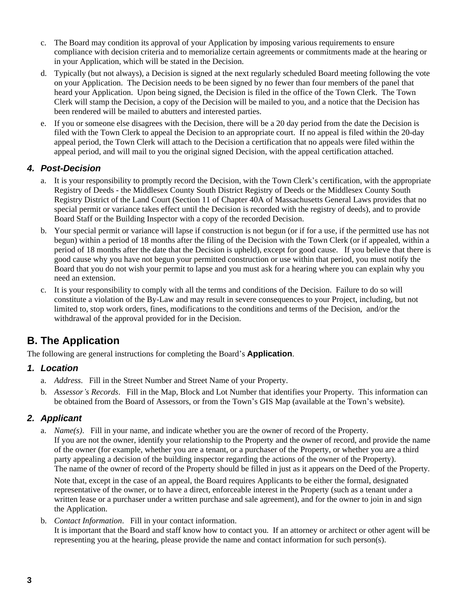- c. The Board may condition its approval of your Application by imposing various requirements to ensure compliance with decision criteria and to memorialize certain agreements or commitments made at the hearing or in your Application, which will be stated in the Decision.
- d. Typically (but not always), a Decision is signed at the next regularly scheduled Board meeting following the vote on your Application. The Decision needs to be been signed by no fewer than four members of the panel that heard your Application. Upon being signed, the Decision is filed in the office of the Town Clerk. The Town Clerk will stamp the Decision, a copy of the Decision will be mailed to you, and a notice that the Decision has been rendered will be mailed to abutters and interested parties.
- e. If you or someone else disagrees with the Decision, there will be a 20 day period from the date the Decision is filed with the Town Clerk to appeal the Decision to an appropriate court. If no appeal is filed within the 20-day appeal period, the Town Clerk will attach to the Decision a certification that no appeals were filed within the appeal period, and will mail to you the original signed Decision, with the appeal certification attached.

#### *4. Post-Decision*

- a. It is your responsibility to promptly record the Decision, with the Town Clerk's certification, with the appropriate Registry of Deeds - the Middlesex County South District Registry of Deeds or the Middlesex County South Registry District of the Land Court (Section 11 of Chapter 40A of Massachusetts General Laws provides that no special permit or variance takes effect until the Decision is recorded with the registry of deeds), and to provide Board Staff or the Building Inspector with a copy of the recorded Decision.
- b. Your special permit or variance will lapse if construction is not begun (or if for a use, if the permitted use has not begun) within a period of 18 months after the filing of the Decision with the Town Clerk (or if appealed, within a period of 18 months after the date that the Decision is upheld), except for good cause. If you believe that there is good cause why you have not begun your permitted construction or use within that period, you must notify the Board that you do not wish your permit to lapse and you must ask for a hearing where you can explain why you need an extension.
- c. It is your responsibility to comply with all the terms and conditions of the Decision. Failure to do so will constitute a violation of the By-Law and may result in severe consequences to your Project, including, but not limited to, stop work orders, fines, modifications to the conditions and terms of the Decision, and/or the withdrawal of the approval provided for in the Decision.

# **B. The Application**

The following are general instructions for completing the Board's **Application**.

#### *1. Location*

- a. *Address*. Fill in the Street Number and Street Name of your Property.
- b. *Assessor's Records*. Fill in the Map, Block and Lot Number that identifies your Property. This information can be obtained from the Board of Assessors, or from the Town's GIS Map (available at the Town's website).

## *2. Applicant*

a. *Name(s)*. Fill in your name, and indicate whether you are the owner of record of the Property. If you are not the owner, identify your relationship to the Property and the owner of record, and provide the name of the owner (for example, whether you are a tenant, or a purchaser of the Property, or whether you are a third party appealing a decision of the building inspector regarding the actions of the owner of the Property). The name of the owner of record of the Property should be filled in just as it appears on the Deed of the Property.

Note that, except in the case of an appeal, the Board requires Applicants to be either the formal, designated representative of the owner, or to have a direct, enforceable interest in the Property (such as a tenant under a written lease or a purchaser under a written purchase and sale agreement), and for the owner to join in and sign the Application.

b. *Contact Information*. Fill in your contact information.

It is important that the Board and staff know how to contact you. If an attorney or architect or other agent will be representing you at the hearing, please provide the name and contact information for such person(s).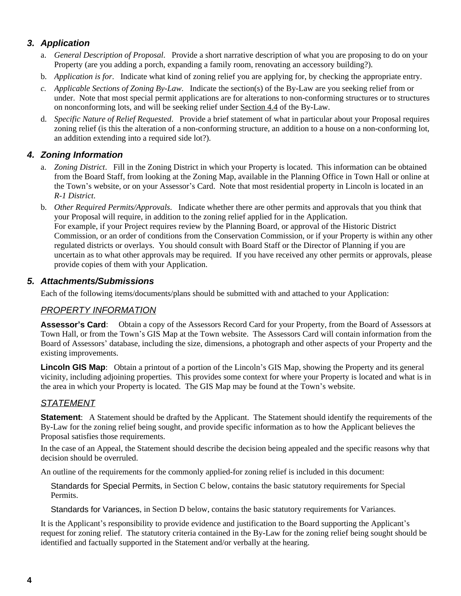# *3. Application*

- a. *General Description of Proposal*. Provide a short narrative description of what you are proposing to do on your Property (are you adding a porch, expanding a family room, renovating an accessory building?).
- b. *Application is for*. Indicate what kind of zoning relief you are applying for, by checking the appropriate entry.
- *c. Applicable Sections of Zoning By-Law*. Indicate the section(s) of the By-Law are you seeking relief from or under. Note that most special permit applications are for alterations to non-conforming structures or to structures on nonconforming lots, and will be seeking relief under Section 4.4 of the By-Law.
- d. *Specific Nature of Relief Requested*. Provide a brief statement of what in particular about your Proposal requires zoning relief (is this the alteration of a non-conforming structure, an addition to a house on a non-conforming lot, an addition extending into a required side lot?).

## *4. Zoning Information*

- a. *Zoning District*. Fill in the Zoning District in which your Property is located. This information can be obtained from the Board Staff, from looking at the Zoning Map, available in the Planning Office in Town Hall or online at the Town's website, or on your Assessor's Card. Note that most residential property in Lincoln is located in an *R-1 District*.
- b. *Other Required Permits/Approvals*. Indicate whether there are other permits and approvals that you think that your Proposal will require, in addition to the zoning relief applied for in the Application. For example, if your Project requires review by the Planning Board, or approval of the Historic District Commission, or an order of conditions from the Conservation Commission, or if your Property is within any other regulated districts or overlays. You should consult with Board Staff or the Director of Planning if you are uncertain as to what other approvals may be required. If you have received any other permits or approvals, please provide copies of them with your Application.

#### *5. Attachments/Submissions*

Each of the following items/documents/plans should be submitted with and attached to your Application:

#### *PROPERTY INFORMATION*

**Assessor's Card**: Obtain a copy of the Assessors Record Card for your Property, from the Board of Assessors at Town Hall, or from the Town's GIS Map at the Town website. The Assessors Card will contain information from the Board of Assessors' database, including the size, dimensions, a photograph and other aspects of your Property and the existing improvements.

**Lincoln GIS Map**: Obtain a printout of a portion of the Lincoln's GIS Map, showing the Property and its general vicinity, including adjoining properties. This provides some context for where your Property is located and what is in the area in which your Property is located. The GIS Map may be found at the Town's website.

## *STATEMENT*

**Statement**: A Statement should be drafted by the Applicant. The Statement should identify the requirements of the By-Law for the zoning relief being sought, and provide specific information as to how the Applicant believes the Proposal satisfies those requirements.

In the case of an Appeal, the Statement should describe the decision being appealed and the specific reasons why that decision should be overruled.

An outline of the requirements for the commonly applied-for zoning relief is included in this document:

Standards for Special Permits, in Section C below, contains the basic statutory requirements for Special Permits.

Standards for Variances, in Section D below, contains the basic statutory requirements for Variances.

It is the Applicant's responsibility to provide evidence and justification to the Board supporting the Applicant's request for zoning relief. The statutory criteria contained in the By-Law for the zoning relief being sought should be identified and factually supported in the Statement and/or verbally at the hearing.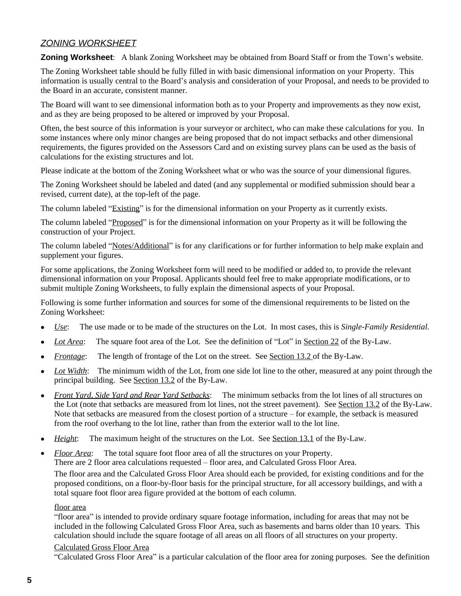## *ZONING WORKSHEET*

**Zoning Worksheet**: A blank Zoning Worksheet may be obtained from Board Staff or from the Town's website.

The Zoning Worksheet table should be fully filled in with basic dimensional information on your Property. This information is usually central to the Board's analysis and consideration of your Proposal, and needs to be provided to the Board in an accurate, consistent manner.

The Board will want to see dimensional information both as to your Property and improvements as they now exist, and as they are being proposed to be altered or improved by your Proposal.

Often, the best source of this information is your surveyor or architect, who can make these calculations for you. In some instances where only minor changes are being proposed that do not impact setbacks and other dimensional requirements, the figures provided on the Assessors Card and on existing survey plans can be used as the basis of calculations for the existing structures and lot.

Please indicate at the bottom of the Zoning Worksheet what or who was the source of your dimensional figures.

The Zoning Worksheet should be labeled and dated (and any supplemental or modified submission should bear a revised, current date), at the top-left of the page.

The column labeled "Existing" is for the dimensional information on your Property as it currently exists.

The column labeled "Proposed" is for the dimensional information on your Property as it will be following the construction of your Project.

The column labeled "Notes/Additional" is for any clarifications or for further information to help make explain and supplement your figures.

For some applications, the Zoning Worksheet form will need to be modified or added to, to provide the relevant dimensional information on your Proposal. Applicants should feel free to make appropriate modifications, or to submit multiple Zoning Worksheets, to fully explain the dimensional aspects of your Proposal.

Following is some further information and sources for some of the dimensional requirements to be listed on the Zoning Worksheet:

- *Use*: The use made or to be made of the structures on the Lot. In most cases, this is *Single-Family Residential*.
- *Lot Area*: The square foot area of the Lot. See the definition of "Lot" in Section 22 of the By-Law.
- *Frontage*: The length of frontage of the Lot on the street. See <u>Section 13.2</u> of the By-Law.
- *Lot Width*: The minimum width of the Lot, from one side lot line to the other, measured at any point through the principal building. See Section 13.2 of the By-Law.
- *Front Yard, Side Yard and Rear Yard Setbacks*: The minimum setbacks from the lot lines of all structures on the Lot (note that setbacks are measured from lot lines, not the street pavement). See Section 13.2 of the By-Law. Note that setbacks are measured from the closest portion of a structure – for example, the setback is measured from the roof overhang to the lot line, rather than from the exterior wall to the lot line.
- *Height*: The maximum height of the structures on the Lot. See Section 13.1 of the By-Law.
- *Floor Area*: The total square foot floor area of all the structures on your Property. There are 2 floor area calculations requested – floor area, and Calculated Gross Floor Area.

The floor area and the Calculated Gross Floor Area should each be provided, for existing conditions and for the proposed conditions, on a floor-by-floor basis for the principal structure, for all accessory buildings, and with a total square foot floor area figure provided at the bottom of each column.

#### floor area

"floor area" is intended to provide ordinary square footage information, including for areas that may not be included in the following Calculated Gross Floor Area, such as basements and barns older than 10 years. This calculation should include the square footage of all areas on all floors of all structures on your property.

#### Calculated Gross Floor Area

"Calculated Gross Floor Area" is a particular calculation of the floor area for zoning purposes. See the definition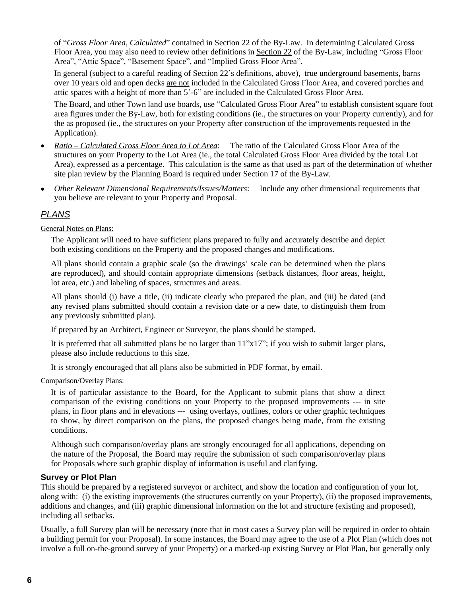of "*Gross Floor Area, Calculated*" contained in Section 22 of the By-Law. In determining Calculated Gross Floor Area, you may also need to review other definitions in Section 22 of the By-Law, including "Gross Floor Area", "Attic Space", "Basement Space", and "Implied Gross Floor Area".

In general (subject to a careful reading of Section 22's definitions, above), true underground basements, barns over 10 years old and open decks are not included in the Calculated Gross Floor Area, and covered porches and attic spaces with a height of more than 5'-6" are included in the Calculated Gross Floor Area.

The Board, and other Town land use boards, use "Calculated Gross Floor Area" to establish consistent square foot area figures under the By-Law, both for existing conditions (ie., the structures on your Property currently), and for the as proposed (ie., the structures on your Property after construction of the improvements requested in the Application).

- *Ratio – Calculated Gross Floor Area to Lot Area*: The ratio of the Calculated Gross Floor Area of the structures on your Property to the Lot Area (ie., the total Calculated Gross Floor Area divided by the total Lot Area), expressed as a percentage. This calculation is the same as that used as part of the determination of whether site plan review by the Planning Board is required under Section 17 of the By-Law.
- *Other Relevant Dimensional Requirements/Issues/Matters*: Include any other dimensional requirements that you believe are relevant to your Property and Proposal.

#### *PLANS*

General Notes on Plans:

The Applicant will need to have sufficient plans prepared to fully and accurately describe and depict both existing conditions on the Property and the proposed changes and modifications.

All plans should contain a graphic scale (so the drawings' scale can be determined when the plans are reproduced), and should contain appropriate dimensions (setback distances, floor areas, height, lot area, etc.) and labeling of spaces, structures and areas.

All plans should (i) have a title, (ii) indicate clearly who prepared the plan, and (iii) be dated (and any revised plans submitted should contain a revision date or a new date, to distinguish them from any previously submitted plan).

If prepared by an Architect, Engineer or Surveyor, the plans should be stamped.

It is preferred that all submitted plans be no larger than 11"x17"; if you wish to submit larger plans, please also include reductions to this size.

It is strongly encouraged that all plans also be submitted in PDF format, by email.

Comparison/Overlay Plans:

It is of particular assistance to the Board, for the Applicant to submit plans that show a direct comparison of the existing conditions on your Property to the proposed improvements --- in site plans, in floor plans and in elevations --- using overlays, outlines, colors or other graphic techniques to show, by direct comparison on the plans, the proposed changes being made, from the existing conditions.

Although such comparison/overlay plans are strongly encouraged for all applications, depending on the nature of the Proposal, the Board may require the submission of such comparison/overlay plans for Proposals where such graphic display of information is useful and clarifying.

#### **Survey or Plot Plan**

This should be prepared by a registered surveyor or architect, and show the location and configuration of your lot, along with: (i) the existing improvements (the structures currently on your Property), (ii) the proposed improvements, additions and changes, and (iii) graphic dimensional information on the lot and structure (existing and proposed), including all setbacks.

Usually, a full Survey plan will be necessary (note that in most cases a Survey plan will be required in order to obtain a building permit for your Proposal). In some instances, the Board may agree to the use of a Plot Plan (which does not involve a full on-the-ground survey of your Property) or a marked-up existing Survey or Plot Plan, but generally only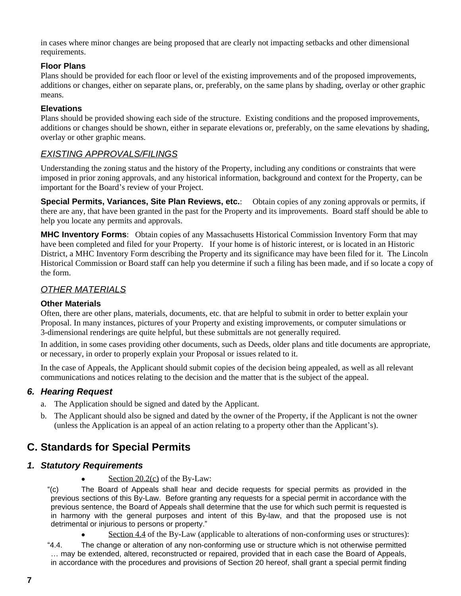in cases where minor changes are being proposed that are clearly not impacting setbacks and other dimensional requirements.

#### **Floor Plans**

Plans should be provided for each floor or level of the existing improvements and of the proposed improvements, additions or changes, either on separate plans, or, preferably, on the same plans by shading, overlay or other graphic means.

#### **Elevations**

Plans should be provided showing each side of the structure. Existing conditions and the proposed improvements, additions or changes should be shown, either in separate elevations or, preferably, on the same elevations by shading, overlay or other graphic means.

#### *EXISTING APPROVALS/FILINGS*

Understanding the zoning status and the history of the Property, including any conditions or constraints that were imposed in prior zoning approvals, and any historical information, background and context for the Property, can be important for the Board's review of your Project.

**Special Permits, Variances, Site Plan Reviews, etc.**: Obtain copies of any zoning approvals or permits, if there are any, that have been granted in the past for the Property and its improvements. Board staff should be able to help you locate any permits and approvals.

**MHC Inventory Forms**: Obtain copies of any Massachusetts Historical Commission Inventory Form that may have been completed and filed for your Property. If your home is of historic interest, or is located in an Historic District, a MHC Inventory Form describing the Property and its significance may have been filed for it. The Lincoln Historical Commission or Board staff can help you determine if such a filing has been made, and if so locate a copy of the form.

#### *OTHER MATERIALS*

#### **Other Materials**

Often, there are other plans, materials, documents, etc. that are helpful to submit in order to better explain your Proposal. In many instances, pictures of your Property and existing improvements, or computer simulations or 3-dimensional renderings are quite helpful, but these submittals are not generally required.

In addition, in some cases providing other documents, such as Deeds, older plans and title documents are appropriate, or necessary, in order to properly explain your Proposal or issues related to it.

In the case of Appeals, the Applicant should submit copies of the decision being appealed, as well as all relevant communications and notices relating to the decision and the matter that is the subject of the appeal.

#### *6. Hearing Request*

- a. The Application should be signed and dated by the Applicant.
- b. The Applicant should also be signed and dated by the owner of the Property, if the Applicant is not the owner (unless the Application is an appeal of an action relating to a property other than the Applicant's).

# **C. Standards for Special Permits**

#### *1. Statutory Requirements*

 $\bullet$  Section 20.2(c) of the By-Law:

"(c) The Board of Appeals shall hear and decide requests for special permits as provided in the previous sections of this By-Law. Before granting any requests for a special permit in accordance with the previous sentence, the Board of Appeals shall determine that the use for which such permit is requested is in harmony with the general purposes and intent of this By-law, and that the proposed use is not detrimental or injurious to persons or property."

Section 4.4 of the By-Law (applicable to alterations of non-conforming uses or structures):

"4.4. The change or alteration of any non-conforming use or structure which is not otherwise permitted … may be extended, altered, reconstructed or repaired, provided that in each case the Board of Appeals, in accordance with the procedures and provisions of Section 20 hereof, shall grant a special permit finding